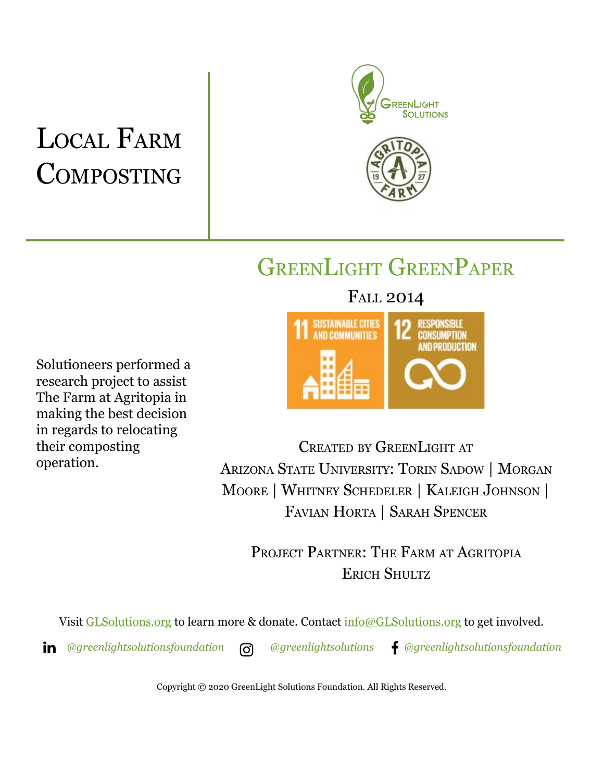# LOCAL FARM **COMPOSTING**





## GREENLIGHT GREENPAPER

FALL 2014

Solutioneers performed a research project to assist The Farm at Agritopia in making the best decision in regards to relocating their composting operation.



CREATED BY GREENLIGHT AT ARIZONA STATE UNIVERSITY: TORIN SADOW | MORGAN MOORE | WHITNEY SCHEDELER | KALEIGH JOHNSON | FAVIAN HORTA | SARAH SPENCER

PROJECT PARTNER: THE FARM AT AGRITOPIA ERICH SHULTZ

Visit [GLSolutions.org](https://www.glsolutions.org/) to learn more & donate. Contact  $\frac{info@GLSolutions.org}{info@GLSolutions.org}$  to get involved.

*[@greenlightsolutionsfoundation](https://www.linkedin.com/company/10571635) [@greenlightsolutions](https://www.instagram.com/greenlightsolutions/) [@greenlightsolutionsfoundation](https://www.facebook.com/GreenLightSolutionsFoundation/)*

Copyright © 2020 GreenLight Solutions Foundation. All Rights Reserved.